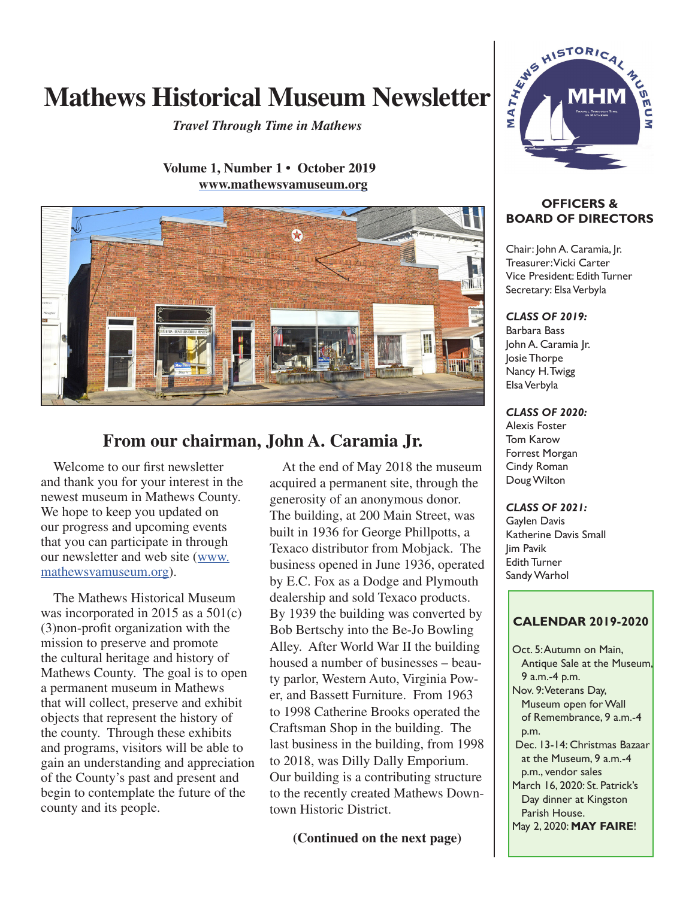# Mathews Historical Museum Newsletter  $\frac{1}{2}$  MHM

*Travel Through Time in Mathews*

 **Volume 1, Number 1 • October 2019 www.mathewsvamuseum.org**



# **From our chairman, John A. Caramia Jr.**

Welcome to our first newsletter and thank you for your interest in the newest museum in Mathews County. We hope to keep you updated on our progress and upcoming events that you can participate in through our newsletter and web site (www. mathewsvamuseum.org).

The Mathews Historical Museum was incorporated in 2015 as a 501(c) (3)non-profit organization with the mission to preserve and promote the cultural heritage and history of Mathews County. The goal is to open a permanent museum in Mathews that will collect, preserve and exhibit objects that represent the history of the county. Through these exhibits and programs, visitors will be able to gain an understanding and appreciation of the County's past and present and begin to contemplate the future of the county and its people.

At the end of May 2018 the museum acquired a permanent site, through the generosity of an anonymous donor. The building, at 200 Main Street, was built in 1936 for George Phillpotts, a Texaco distributor from Mobjack. The business opened in June 1936, operated by E.C. Fox as a Dodge and Plymouth dealership and sold Texaco products. By 1939 the building was converted by Bob Bertschy into the Be-Jo Bowling Alley. After World War II the building housed a number of businesses – beauty parlor, Western Auto, Virginia Power, and Bassett Furniture. From 1963 to 1998 Catherine Brooks operated the Craftsman Shop in the building. The last business in the building, from 1998 to 2018, was Dilly Dally Emporium. Our building is a contributing structure to the recently created Mathews Downtown Historic District.

**(Continued on the next page)**



#### **OFFICERS & BOARD OF DIRECTORS**

Chair: John A. Caramia, Jr. Treasurer: Vicki Carter Vice President: Edith Turner Secretary: Elsa Verbyla

#### *CLASS OF 2019:*

Barbara Bass John A. Caramia Jr. Josie Thorpe Nancy H. Twigg Elsa Verbyla

*CLASS OF 2020:*

Alexis Foster Tom Karow Forrest Morgan Cindy Roman Doug Wilton

*CLASS OF 2021:*

Gaylen Davis Katherine Davis Small Jim Pavik Edith Turner Sandy Warhol

#### **CALENDAR 2019-2020**

 Oct. 5: Autumn on Main, Antique Sale at the Museum, 9 a.m.-4 p.m. Nov. 9: Veterans Day, Museum open for Wall of Remembrance, 9 a.m.-4 p.m. Dec. 13-14: Christmas Bazaar at the Museum,  $9a$  m $-4$ p.m., vendor sales March 16, 2020: St. Patrick's Day dinner at Kingston Parish House. May 2, 2020: **MAY FAIRE**!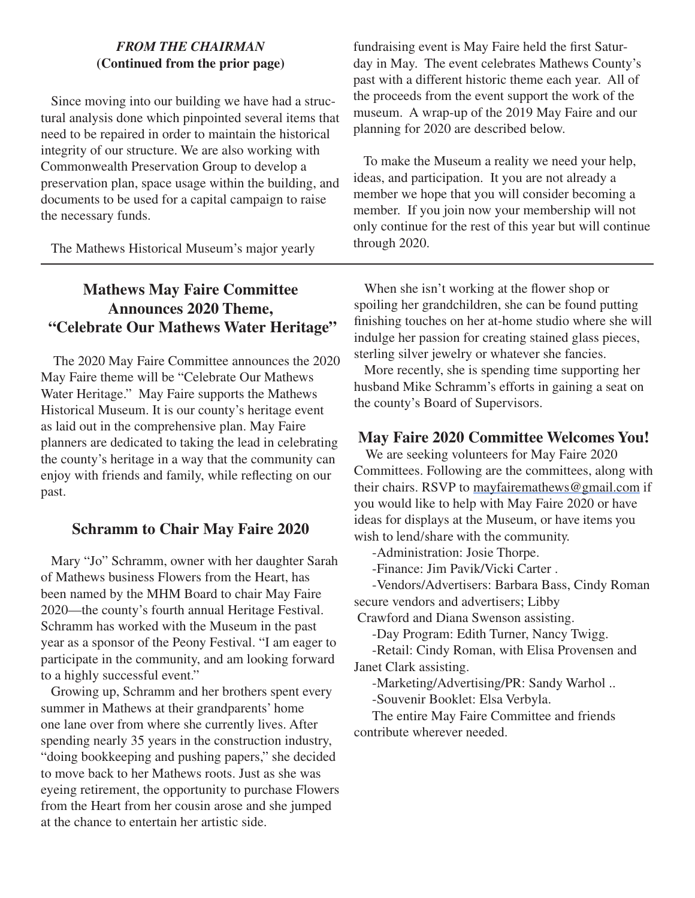#### *FROM THE CHAIRMAN* **(Continued from the prior page)**

Since moving into our building we have had a structural analysis done which pinpointed several items that need to be repaired in order to maintain the historical integrity of our structure. We are also working with Commonwealth Preservation Group to develop a preservation plan, space usage within the building, and documents to be used for a capital campaign to raise the necessary funds.

The Mathews Historical Museum's major yearly

fundraising event is May Faire held the first Saturday in May. The event celebrates Mathews County's past with a different historic theme each year. All of the proceeds from the event support the work of the museum. A wrap-up of the 2019 May Faire and our planning for 2020 are described below.

To make the Museum a reality we need your help, ideas, and participation. It you are not already a member we hope that you will consider becoming a member. If you join now your membership will not only continue for the rest of this year but will continue through 2020.

# **Mathews May Faire Committee Announces 2020 Theme, "Celebrate Our Mathews Water Heritage"**

The 2020 May Faire Committee announces the 2020 May Faire theme will be "Celebrate Our Mathews Water Heritage." May Faire supports the Mathews Historical Museum. It is our county's heritage event as laid out in the comprehensive plan. May Faire planners are dedicated to taking the lead in celebrating the county's heritage in a way that the community can enjoy with friends and family, while reflecting on our past.

#### **Schramm to Chair May Faire 2020**

Mary "Jo" Schramm, owner with her daughter Sarah of Mathews business Flowers from the Heart, has been named by the MHM Board to chair May Faire 2020—the county's fourth annual Heritage Festival. Schramm has worked with the Museum in the past year as a sponsor of the Peony Festival. "I am eager to participate in the community, and am looking forward to a highly successful event."

Growing up, Schramm and her brothers spent every summer in Mathews at their grandparents' home one lane over from where she currently lives. After spending nearly 35 years in the construction industry, "doing bookkeeping and pushing papers," she decided to move back to her Mathews roots. Just as she was eyeing retirement, the opportunity to purchase Flowers from the Heart from her cousin arose and she jumped at the chance to entertain her artistic side.

When she isn't working at the flower shop or spoiling her grandchildren, she can be found putting finishing touches on her at-home studio where she will indulge her passion for creating stained glass pieces, sterling silver jewelry or whatever she fancies.

More recently, she is spending time supporting her husband Mike Schramm's efforts in gaining a seat on the county's Board of Supervisors.

# **May Faire 2020 Committee Welcomes You!**

We are seeking volunteers for May Faire 2020 Committees. Following are the committees, along with their chairs. RSVP to mayfairemathews@gmail.com if you would like to help with May Faire 2020 or have ideas for displays at the Museum, or have items you wish to lend/share with the community.

-Administration: Josie Thorpe.

-Finance: Jim Pavik/Vicki Carter .

-Vendors/Advertisers: Barbara Bass, Cindy Roman secure vendors and advertisers; Libby

Crawford and Diana Swenson assisting.

-Day Program: Edith Turner, Nancy Twigg.

-Retail: Cindy Roman, with Elisa Provensen and Janet Clark assisting.

-Marketing/Advertising/PR: Sandy Warhol ..

-Souvenir Booklet: Elsa Verbyla.

The entire May Faire Committee and friends contribute wherever needed.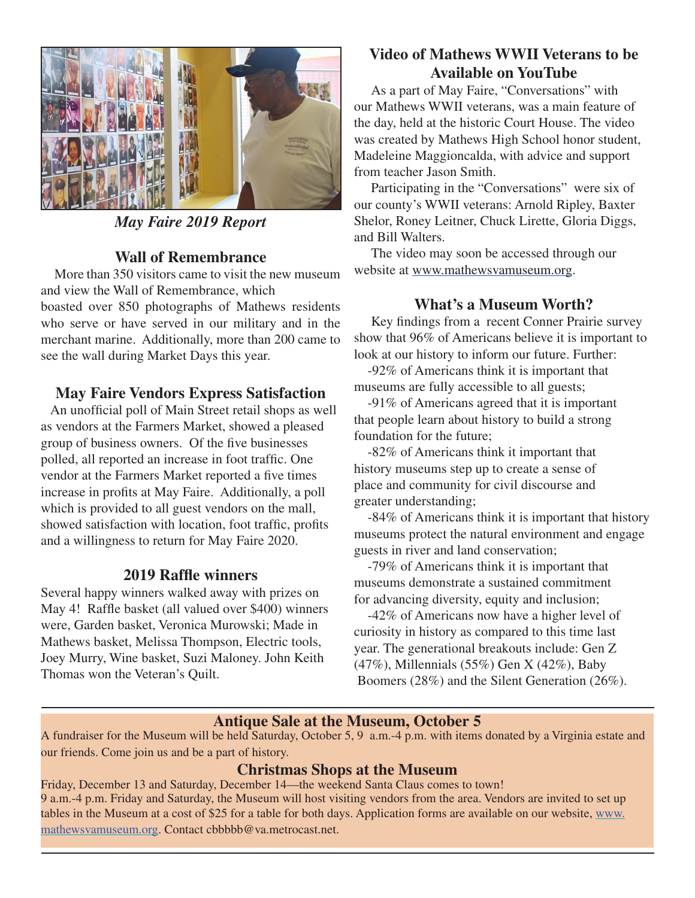

*May Faire 2019 Report*

# **Wall of Remembrance**

More than 350 visitors came to visit the new museum and view the Wall of Remembrance, which boasted over 850 photographs of Mathews residents who serve or have served in our military and in the

merchant marine. Additionally, more than 200 came to see the wall during Market Days this year.

# **May Faire Vendors Express Satisfaction**

 An unofficial poll of Main Street retail shops as well as vendors at the Farmers Market, showed a pleased group of business owners. Of the five businesses polled, all reported an increase in foot traffic. One vendor at the Farmers Market reported a five times increase in profits at May Faire. Additionally, a poll which is provided to all guest vendors on the mall, showed satisfaction with location, foot traffic, profits and a willingness to return for May Faire 2020.

# **2019 Raffle winners**

Several happy winners walked away with prizes on May 4! Raffle basket (all valued over \$400) winners were, Garden basket, Veronica Murowski; Made in Mathews basket, Melissa Thompson, Electric tools, Joey Murry, Wine basket, Suzi Maloney. John Keith Thomas won the Veteran's Quilt.

# **Video of Mathews WWII Veterans to be Available on YouTube**

As a part of May Faire, "Conversations" with our Mathews WWII veterans, was a main feature of the day, held at the historic Court House. The video was created by Mathews High School honor student, Madeleine Maggioncalda, with advice and support from teacher Jason Smith.

Participating in the "Conversations" were six of our county's WWII veterans: Arnold Ripley, Baxter Shelor, Roney Leitner, Chuck Lirette, Gloria Diggs, and Bill Walters.

The video may soon be accessed through our website at www.mathewsvamuseum.org.

# **What's a Museum Worth?**

 Key findings from a recent Conner Prairie survey show that 96% of Americans believe it is important to look at our history to inform our future. Further:

-92% of Americans think it is important that museums are fully accessible to all guests;

-91% of Americans agreed that it is important that people learn about history to build a strong foundation for the future;

-82% of Americans think it important that history museums step up to create a sense of place and community for civil discourse and greater understanding;

-84% of Americans think it is important that history museums protect the natural environment and engage guests in river and land conservation;

-79% of Americans think it is important that museums demonstrate a sustained commitment for advancing diversity, equity and inclusion;

-42% of Americans now have a higher level of curiosity in history as compared to this time last year. The generational breakouts include: Gen Z (47%), Millennials (55%) Gen X (42%), Baby Boomers (28%) and the Silent Generation (26%).

#### **Antique Sale at the Museum, October 5**

A fundraiser for the Museum will be held Saturday, October 5, 9 a.m.-4 p.m. with items donated by a Virginia estate and our friends. Come join us and be a part of history.

#### **Christmas Shops at the Museum**

Friday, December 13 and Saturday, December 14—the weekend Santa Claus comes to town! 9 a.m.-4 p.m. Friday and Saturday, the Museum will host visiting vendors from the area. Vendors are invited to set up tables in the Museum at a cost of \$25 for a table for both days. Application forms are available on our website, www. mathewsvamuseum.org. Contact cbbbbb@va.metrocast.net.